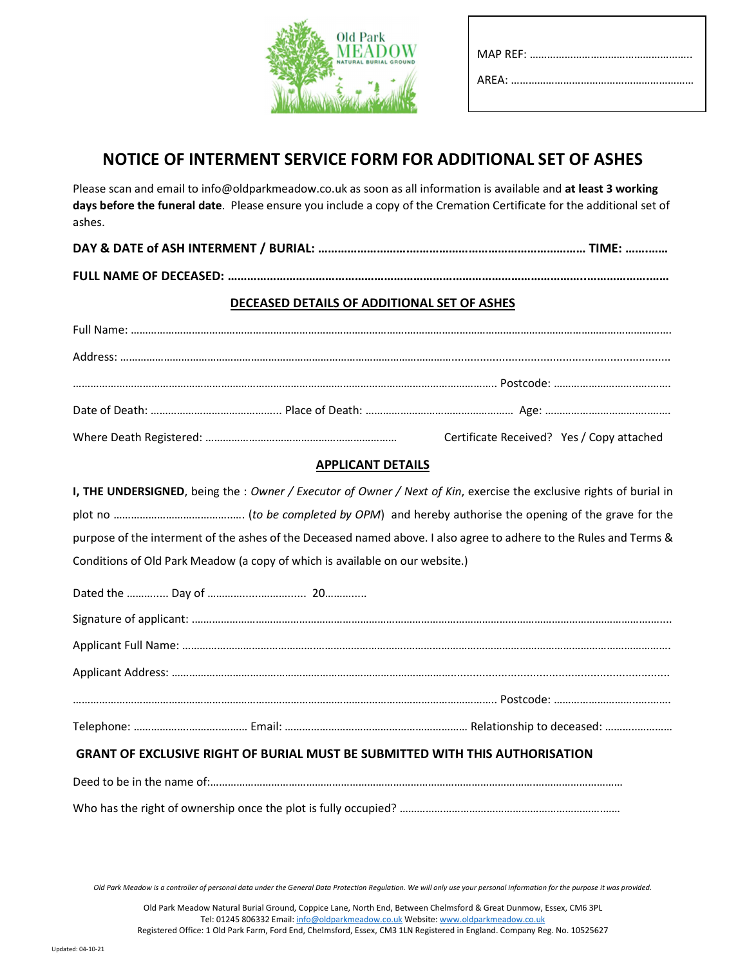

# NOTICE OF INTERMENT SERVICE FORM FOR ADDITIONAL SET OF ASHES

Please scan and email to info@oldparkmeadow.co.uk as soon as all information is available and at least 3 working days before the funeral date. Please ensure you include a copy of the Cremation Certificate for the additional set of ashes.

|                               | <b>TIME: </b> |
|-------------------------------|---------------|
| <b>FULL NAME OF DECEASED:</b> |               |

### DECEASED DETAILS OF ADDITIONAL SET OF ASHES

| Certificate Received? Yes / Copy attached |
|-------------------------------------------|

### APPLICANT DETAILS

I, THE UNDERSIGNED, being the : Owner / Executor of Owner / Next of Kin, exercise the exclusive rights of burial in plot no …………………………………..…. (to be completed by OPM) and hereby authorise the opening of the grave for the purpose of the interment of the ashes of the Deceased named above. I also agree to adhere to the Rules and Terms & Conditions of Old Park Meadow (a copy of which is available on our website.)

## GRANT OF EXCLUSIVE RIGHT OF BURIAL MUST BE SUBMITTED WITH THIS AUTHORISATION

Old Park Meadow is a controller of personal data under the General Data Protection Regulation. We will only use your personal information for the purpose it was provided.

Deed to be in the name of